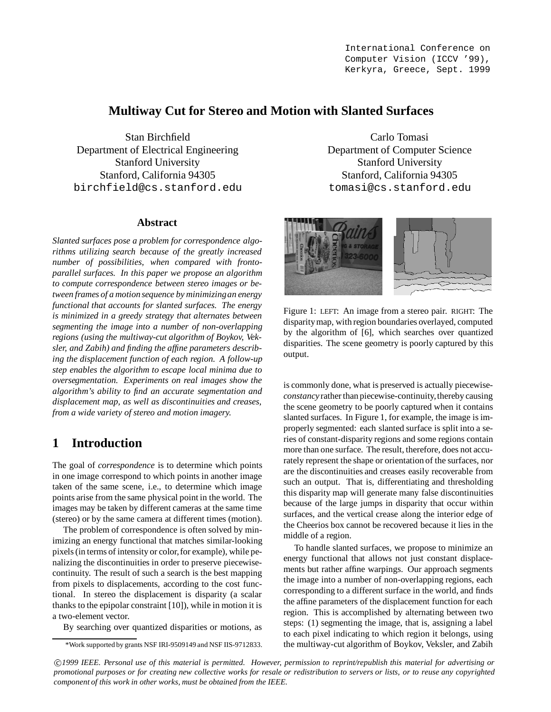International Conference on Computer Vision (ICCV '99), Kerkyra, Greece, Sept. 1999

# **Multiway Cut for Stereo and Motion with Slanted Surfaces**

Stan Birchfield Carlo Tomasi Department of Electrical Engineering Department of Computer Science Stanford University Stanford University Stanford, California 94305 Stanford, California 94305 birchfield@cs.stanford.edu tomasi@cs.stanford.edu

#### **Abstract**

*Slanted surfaces pose a problem for correspondence algorithms utilizing search because of the greatly increased number of possibilities, when compared with frontoparallel surfaces. In this paper we propose an algorithm to compute correspondence between stereo images or between frames of a motionsequence by minimizingan energy functional that accounts for slanted surfaces. The energy is minimized in a greedy strategy that alternates between segmenting the image into a number of non-overlapping regions (using the multiway-cut algorithm of Boykov, Veksler, and Zabih) and finding the affine parameters describing the displacement function of each region. A follow-up step enables the algorithm to escape local minima due to oversegmentation. Experiments on real images show the algorithm's ability to find an accurate segmentation and displacement map, as well as discontinuities and creases, from a wide variety of stereo and motion imagery.*

## **1 Introduction**

The goal of *correspondence* is to determine which points in one image correspond to which points in another image taken of the same scene, i.e., to determine which image points arise from the same physical point in the world. The images may be taken by different cameras at the same time (stereo) or by the same camera at different times (motion).

The problem of correspondence is often solved by minimizing an energy functional that matches similar-looking pixels (in terms of intensity or color, for example), while penalizing the discontinuities in order to preserve piecewisecontinuity. The result of such a search is the best mapping from pixels to displacements, according to the cost functional. In stereo the displacement is disparity (a scalar thanks to the epipolar constraint [10]), while in motion it is a two-element vector.

By searching over quantized disparities or motions, as



Figure 1: LEFT: An image from a stereo pair. RIGHT: The disparitymap, with region boundaries overlayed, computed by the algorithm of [6], which searches over quantized disparities. The scene geometry is poorly captured by this output.

is commonly done, what is preserved is actually piecewise*constancy* rather than piecewise-continuity, thereby causing the scene geometry to be poorly captured when it contains slanted surfaces. In Figure 1, for example, the image is improperly segmented: each slanted surface is split into a series of constant-disparity regions and some regions contain more than one surface. The result, therefore, does not accurately represent the shape or orientation of the surfaces, nor are the discontinuities and creases easily recoverable from such an output. That is, differentiating and thresholding this disparity map will generate many false discontinuities because of the large jumps in disparity that occur within surfaces, and the vertical crease along the interior edge of the Cheerios box cannot be recovered because it lies in the middle of a region.

To handle slanted surfaces, we propose to minimize an energy functional that allows not just constant displacements but rather affine warpings. Our approach segments the image into a number of non-overlapping regions, each corresponding to a different surface in the world, and finds the affine parameters of the displacement function for each region. This is accomplished by alternating between two steps: (1) segmenting the image, that is, assigning a label to each pixel indicating to which region it belongs, using the multiway-cut algorithm of Boykov, Veksler, and Zabih

 c *1999 IEEE. Personal use of this material is permitted. However, permission to reprint/republish this material for advertising or promotional purposes or for creating new collective works for resale or redistribution to servers or lists, or to reuse any copyrighted component of this work in other works, must be obtained from the IEEE.*

<sup>\*</sup>Work supported by grants NSF IRI-9509149 and NSF IIS-9712833.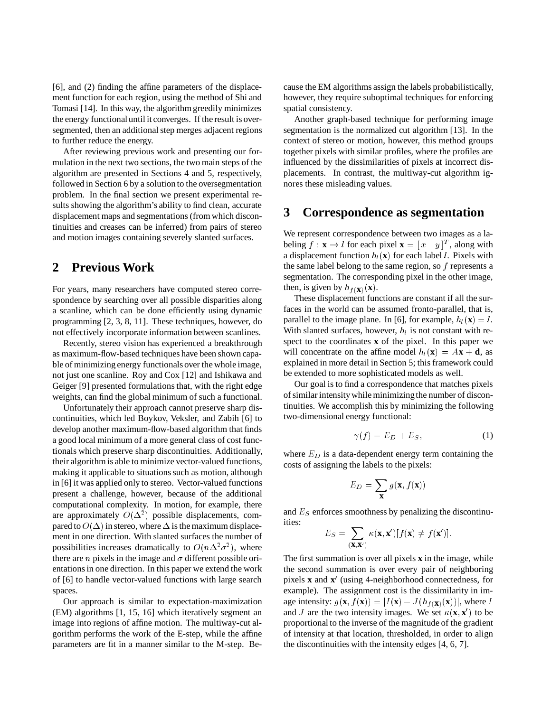[6], and (2) finding the affine parameters of the displacement function for each region, using the method of Shi and Tomasi [14]. In this way, the algorithm greedily minimizes the energy functional until it converges. If the result is oversegmented, then an additional step merges adjacent regions to further reduce the energy.

After reviewing previous work and presenting our formulation in the next two sections, the two main steps of the algorithm are presented in Sections 4 and 5, respectively, followed in Section 6 by a solution to the oversegmentation problem. In the final section we present experimental results showing the algorithm's ability to find clean, accurate displacement maps and segmentations(from which discontinuities and creases can be inferred) from pairs of stereo and motion images containing severely slanted surfaces.

# **2 Previous Work**

For years, many researchers have computed stereo correspondence by searching over all possible disparities along a scanline, which can be done efficiently using dynamic programming [2, 3, 8, 11]. These techniques, however, do not effectively incorporate information between scanlines.

Recently, stereo vision has experienced a breakthrough as maximum-flow-based techniques have been shown capable of minimizing energy functionals over the whole image, not just one scanline. Roy and Cox [12] and Ishikawa and Geiger [9] presented formulations that, with the right edge weights, can find the global minimum of such a functional.

Unfortunately their approach cannot preserve sharp discontinuities, which led Boykov, Veksler, and Zabih [6] to develop another maximum-flow-based algorithm that finds a good local minimum of a more general class of cost functionals which preserve sharp discontinuities. Additionally, their algorithm is able to minimize vector-valued functions, making it applicable to situations such as motion, although in [6] it was applied only to stereo. Vector-valued functions present a challenge, however, because of the additional computational complexity. In motion, for example, there are approximately  $O(\Delta^2)$  possible displacements, compared to  $O(\Delta)$  in stereo, where  $\Delta$  is the maximum displacement in one direction. With slanted surfaces the number of possibilities increases dramatically to  $O(n\Delta^2\sigma^2)$ , where there are *n* pixels in the image and  $\sigma$  different possible orientations in one direction. In this paper we extend the work of [6] to handle vector-valued functions with large search spaces.

Our approach is similar to expectation-maximization (EM) algorithms [1, 15, 16] which iteratively segment an image into regions of affine motion. The multiway-cut algorithm performs the work of the E-step, while the affine parameters are fit in a manner similar to the M-step. Because the EM algorithms assign the labels probabilistically, however, they require suboptimal techniques for enforcing spatial consistency.

Another graph-based technique for performing image segmentation is the normalized cut algorithm [13]. In the context of stereo or motion, however, this method groups together pixels with similar profiles, where the profiles are influenced by the dissimilarities of pixels at incorrect displacements. In contrast, the multiway-cut algorithm ignores these misleading values.

#### **3 Correspondence as segmentation**

We represent correspondence between two images as a labeling  $f: \mathbf{x} \to l$  for each pixel  $\mathbf{x} = [x \ y]^T$ , along with a displacement function  $h_l(\mathbf{x})$  for each label *l*. Pixels with the same label belong to the same region, so f represents a segmentation. The corresponding pixel in the other image, then, is given by  $h_{f(\mathbf{X})}(\mathbf{x})$ .

These displacement functions are constant if all the surfaces in the world can be assumed fronto-parallel, that is, parallel to the image plane. In [6], for example,  $h_l(\mathbf{x}) = l$ . With slanted surfaces, however,  $h_i$  is not constant with respect to the coordinates **x** of the pixel. In this paper we will concentrate on the affine model  $h_i(\mathbf{x}) = A\mathbf{x} + \mathbf{d}$ , as explained in more detail in Section 5; this framework could be extended to more sophisticated models as well.

Our goal is to find a correspondence that matches pixels of similar intensitywhile minimizingthe number of discontinuities. We accomplish this by minimizing the following two-dimensional energy functional:

$$
\gamma(f) = E_D + E_S,\tag{1}
$$

where  $E_D$  is a data-dependent energy term containing the costs of assigning the labels to the pixels:

$$
E_D = \sum_{\mathbf{X}} g(\mathbf{x}, f(\mathbf{x}))
$$

and  $E<sub>S</sub>$  enforces smoothness by penalizing the discontinuities:

$$
E_S = \sum_{(\mathbf{X}, \mathbf{X}')} \kappa(\mathbf{x}, \mathbf{x}') [f(\mathbf{x}) \neq f(\mathbf{x}')].
$$

The first summation is over all pixels **x** in the image, while the second summation is over every pair of neighboring pixels **x** and **x**<sup> $\prime$ </sup> (using 4-neighborhood connectedness, for example). The assignment cost is the dissimilarity in image intensity:  $g(\mathbf{x}, f(\mathbf{x})) = |I(\mathbf{x}) - J(h_{f(\mathbf{x})}(\mathbf{x}))|$ , where I and J are the two intensity images. We set  $\kappa(\mathbf{x}, \mathbf{x}')$  to be proportional to the inverse of the magnitude of the gradient of intensity at that location, thresholded, in order to align the discontinuities with the intensity edges [4, 6, 7].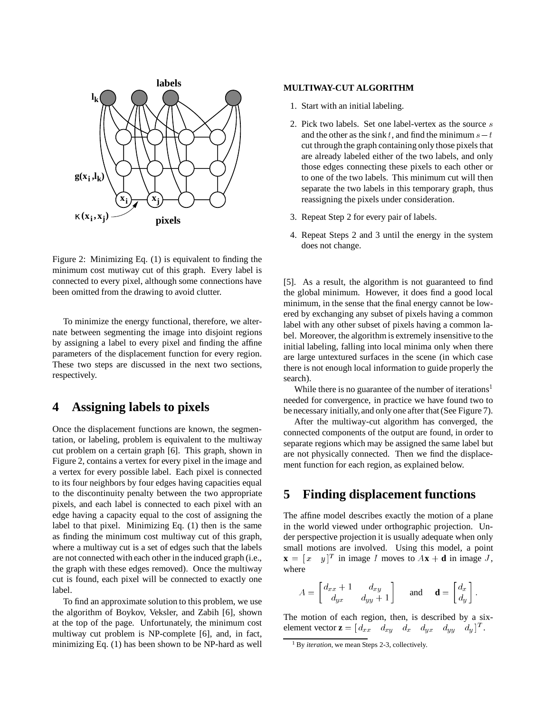

Figure 2: Minimizing Eq. (1) is equivalent to finding the minimum cost mutiway cut of this graph. Every label is connected to every pixel, although some connections have been omitted from the drawing to avoid clutter.

To minimize the energy functional, therefore, we alternate between segmenting the image into disjoint regions by assigning a label to every pixel and finding the affine parameters of the displacement function for every region. These two steps are discussed in the next two sections, respectively.

### **4 Assigning labels to pixels**

Once the displacement functions are known, the segmentation, or labeling, problem is equivalent to the multiway cut problem on a certain graph [6]. This graph, shown in Figure 2, contains a vertex for every pixel in the image and a vertex for every possible label. Each pixel is connected to its four neighbors by four edges having capacities equal to the discontinuity penalty between the two appropriate pixels, and each label is connected to each pixel with an edge having a capacity equal to the cost of assigning the label to that pixel. Minimizing Eq. (1) then is the same as finding the minimum cost multiway cut of this graph, where a multiway cut is a set of edges such that the labels are not connected with each other in the induced graph (i.e., the graph with these edges removed). Once the multiway cut is found, each pixel will be connected to exactly one label.

To find an approximate solution to this problem, we use the algorithm of Boykov, Veksler, and Zabih [6], shown at the top of the page. Unfortunately, the minimum cost multiway cut problem is NP-complete [6], and, in fact, minimizing Eq. (1) has been shown to be NP-hard as well

#### **MULTIWAY-CUT ALGORITHM**

- 1. Start with an initial labeling.
- 2. Pick two labels. Set one label-vertex as the source <sup>s</sup> and the other as the sink t, and find the minimum  $s - t$ cut through the graph containing only those pixels that are already labeled either of the two labels, and only those edges connecting these pixels to each other or to one of the two labels. This minimum cut will then separate the two labels in this temporary graph, thus reassigning the pixels under consideration.
- 3. Repeat Step 2 for every pair of labels.
- 4. Repeat Steps 2 and 3 until the energy in the system does not change.

[5]. As a result, the algorithm is not guaranteed to find the global minimum. However, it does find a good local minimum, in the sense that the final energy cannot be lowered by exchanging any subset of pixels having a common label with any other subset of pixels having a common label. Moreover, the algorithm is extremely insensitive to the initial labeling, falling into local minima only when there are large untextured surfaces in the scene (in which case there is not enough local information to guide properly the search).

While there is no guarantee of the number of iterations<sup>1</sup> needed for convergence, in practice we have found two to be necessary initially, and only one after that (See Figure 7).

After the multiway-cut algorithm has converged, the connected components of the output are found, in order to separate regions which may be assigned the same label but are not physically connected. Then we find the displacement function for each region, as explained below.

### **5 Finding displacement functions**

The affine model describes exactly the motion of a plane in the world viewed under orthographic projection. Under perspective projection it is usually adequate when only small motions are involved. Using this model, a point  $\mathbf{x} = [x \ y]^T$  in image I moves to  $A\mathbf{x} + \mathbf{d}$  in image J, where

$$
A = \begin{bmatrix} d_{xx} + 1 & d_{xy} \\ d_{yx} & d_{yy} + 1 \end{bmatrix} \quad \text{and} \quad \mathbf{d} = \begin{bmatrix} d_x \\ d_y \end{bmatrix}.
$$

The motion of each region, then, is described by a sixelement vector  $\mathbf{z} = [d_{xx} \quad d_{xy} \quad d_x \quad d_{yx} \quad d_{yy} \quad d_y]^T$ .

<sup>&</sup>lt;sup>1</sup> By *iteration*, we mean Steps 2-3, collectively.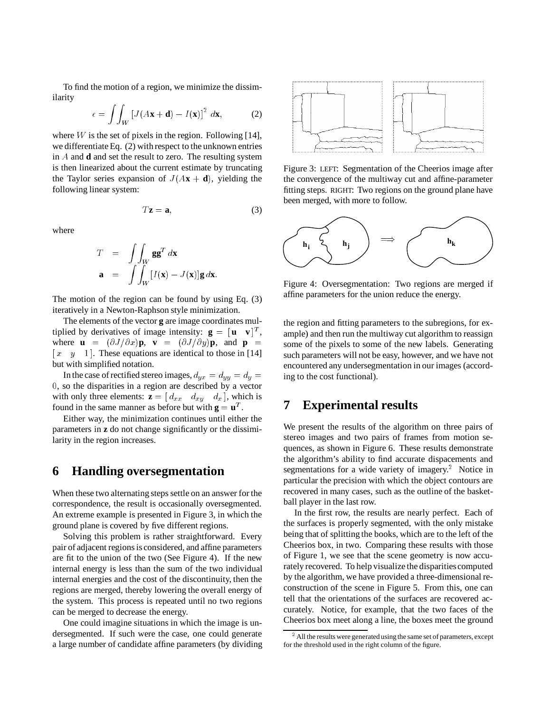To find the motion of a region, we minimize the dissimilarity

$$
\epsilon = \int\int_{W} \left[ J(A\mathbf{x} + \mathbf{d}) - I(\mathbf{x}) \right]^2 \, d\mathbf{x}, \tag{2}
$$

where  $W$  is the set of pixels in the region. Following [14], we differentiate Eq. (2) with respect to the unknown entries in A and **d** and set the result to zero. The resulting system is then linearized about the current estimate by truncating the Taylor series expansion of  $J(Ax + d)$ , yielding the following linear system:

$$
T\mathbf{z} = \mathbf{a},\tag{3}
$$

where

$$
T = \iint_W \mathbf{g} \mathbf{g}^T d\mathbf{x}
$$
  

$$
\mathbf{a} = \iint_W [I(\mathbf{x}) - J(\mathbf{x})] \mathbf{g} d\mathbf{x}.
$$

The motion of the region can be found by using Eq. (3) iteratively in a Newton-Raphson style minimization.

The elements of the vector **g** are image coordinates multiplied by derivatives of image intensity:  $\mathbf{g} = [\mathbf{u} \quad \mathbf{v}]^T$ , where  $\mathbf{u} = (\partial J/\partial x)\mathbf{p}$ ,  $\mathbf{v} = (\partial J/\partial y)\mathbf{p}$ , and  $\mathbf{p} =$  $[x \ y \ 1]$ . These equations are identical to those in [14] but with simplified notation.

In the case of rectified stereo images,  $d_{yx} = d_{yy} = d_y =$ <sup>0</sup>, so the disparities in a region are described by a vector with only three elements:  $\mathbf{z} = [d_{xx} \quad d_{xy} \quad d_x]$ , which is found in the same manner as before but with  $\mathbf{g} = \mathbf{u}^T$ .

Either way, the minimization continues until either the parameters in **z** do not change significantly or the dissimilarity in the region increases.

#### **6 Handling oversegmentation**

When these two alternating steps settle on an answer for the correspondence, the result is occasionally oversegmented. An extreme example is presented in Figure 3, in which the ground plane is covered by five different regions.

Solving this problem is rather straightforward. Every pair of adjacent regions is considered, and affine parameters are fit to the union of the two (See Figure 4). If the new internal energy is less than the sum of the two individual internal energies and the cost of the discontinuity, then the regions are merged, thereby lowering the overall energy of the system. This process is repeated until no two regions can be merged to decrease the energy.

One could imagine situations in which the image is undersegmented. If such were the case, one could generate a large number of candidate affine parameters (by dividing



Figure 3: LEFT: Segmentation of the Cheerios image after the convergence of the multiway cut and affine-parameter fitting steps. RIGHT: Two regions on the ground plane have been merged, with more to follow.



Figure 4: Oversegmentation: Two regions are merged if affine parameters for the union reduce the energy.

the region and fitting parameters to the subregions, for example) and then run the multiway cut algorithm to reassign some of the pixels to some of the new labels. Generating such parameters will not be easy, however, and we have not encountered any undersegmentation in our images (according to the cost functional).

#### **7 Experimental results**

We present the results of the algorithm on three pairs of stereo images and two pairs of frames from motion sequences, as shown in Figure 6. These results demonstrate the algorithm's ability to find accurate dispacements and segmentations for a wide variety of imagery.<sup>2</sup> Notice in particular the precision with which the object contours are recovered in many cases, such as the outline of the basketball player in the last row.

In the first row, the results are nearly perfect. Each of the surfaces is properly segmented, with the only mistake being that of splitting the books, which are to the left of the Cheerios box, in two. Comparing these results with those of Figure 1, we see that the scene geometry is now accurately recovered. To help visualize the disparitiescomputed by the algorithm, we have provided a three-dimensional reconstruction of the scene in Figure 5. From this, one can tell that the orientations of the surfaces are recovered accurately. Notice, for example, that the two faces of the Cheerios box meet along a line, the boxes meet the ground

 $2$  All the results were generated using the same set of parameters, except for the threshold used in the right column of the figure.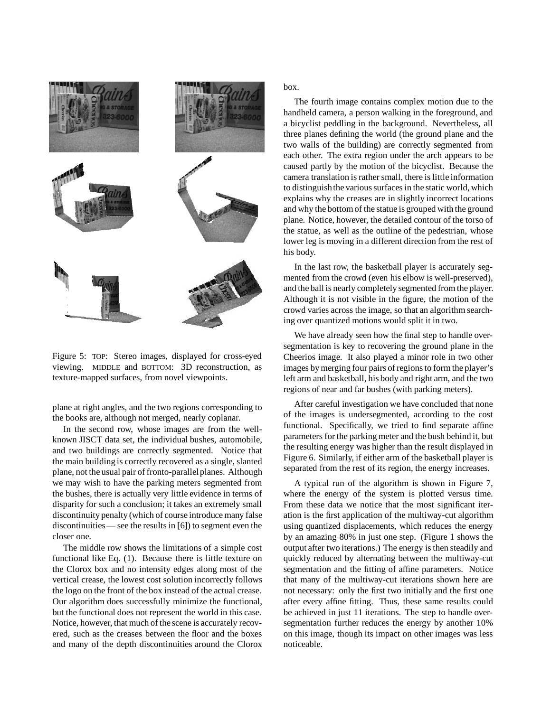

Figure 5: TOP: Stereo images, displayed for cross-eyed viewing. MIDDLE and BOTTOM: 3D reconstruction, as texture-mapped surfaces, from novel viewpoints.

plane at right angles, and the two regions corresponding to the books are, although not merged, nearly coplanar.

In the second row, whose images are from the wellknown JISCT data set, the individual bushes, automobile, and two buildings are correctly segmented. Notice that the main building is correctly recovered as a single, slanted plane, not the usual pair of fronto-parallel planes. Although we may wish to have the parking meters segmented from the bushes, there is actually very little evidence in terms of disparity for such a conclusion; it takes an extremely small discontinuity penalty (which of course introduce many false discontinuities— see the results in [6]) to segment even the closer one.

The middle row shows the limitations of a simple cost functional like Eq. (1). Because there is little texture on the Clorox box and no intensity edges along most of the vertical crease, the lowest cost solution incorrectly follows the logo on the front of the box instead of the actual crease. Our algorithm does successfully minimize the functional, but the functional does not represent the world in this case. Notice, however, that much of the scene is accurately recovered, such as the creases between the floor and the boxes and many of the depth discontinuities around the Clorox box.

The fourth image contains complex motion due to the handheld camera, a person walking in the foreground, and a bicyclist peddling in the background. Nevertheless, all three planes defining the world (the ground plane and the two walls of the building) are correctly segmented from each other. The extra region under the arch appears to be caused partly by the motion of the bicyclist. Because the camera translation is rather small, there is little information to distinguishthe various surfaces in the static world, which explains why the creases are in slightly incorrect locations and why the bottom of the statue is grouped with the ground plane. Notice, however, the detailed contour of the torso of the statue, as well as the outline of the pedestrian, whose lower leg is moving in a different direction from the rest of his body.

In the last row, the basketball player is accurately segmented from the crowd (even his elbow is well-preserved), and the ball is nearly completely segmented from the player. Although it is not visible in the figure, the motion of the crowd varies across the image, so that an algorithm searching over quantized motions would split it in two.

We have already seen how the final step to handle oversegmentation is key to recovering the ground plane in the Cheerios image. It also played a minor role in two other images by merging four pairs of regions to form the player's left arm and basketball, his body and right arm, and the two regions of near and far bushes (with parking meters).

After careful investigation we have concluded that none of the images is undersegmented, according to the cost functional. Specifically, we tried to find separate affine parameters for the parking meter and the bush behind it, but the resulting energy was higher than the result displayed in Figure 6. Similarly, if either arm of the basketball player is separated from the rest of its region, the energy increases.

A typical run of the algorithm is shown in Figure 7, where the energy of the system is plotted versus time. From these data we notice that the most significant iteration is the first application of the multiway-cut algorithm using quantized displacements, which reduces the energy by an amazing 80% in just one step. (Figure 1 shows the output after two iterations.) The energy is then steadily and quickly reduced by alternating between the multiway-cut segmentation and the fitting of affine parameters. Notice that many of the multiway-cut iterations shown here are not necessary: only the first two initially and the first one after every affine fitting. Thus, these same results could be achieved in just 11 iterations. The step to handle oversegmentation further reduces the energy by another 10% on this image, though its impact on other images was less noticeable.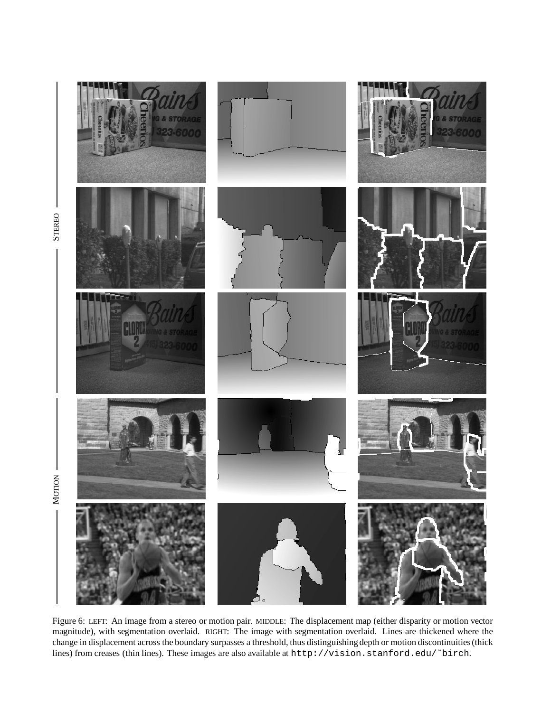

Figure 6: LEFT: An image from a stereo or motion pair. MIDDLE: The displacement map (either disparity or motion vector magnitude), with segmentation overlaid. RIGHT: The image with segmentation overlaid. Lines are thickened where the change in displacement across the boundary surpasses a threshold, thus distinguishingdepth or motion discontinuities (thick lines) from creases (thin lines). These images are also available at http://vision.stanford.edu/˜birch.